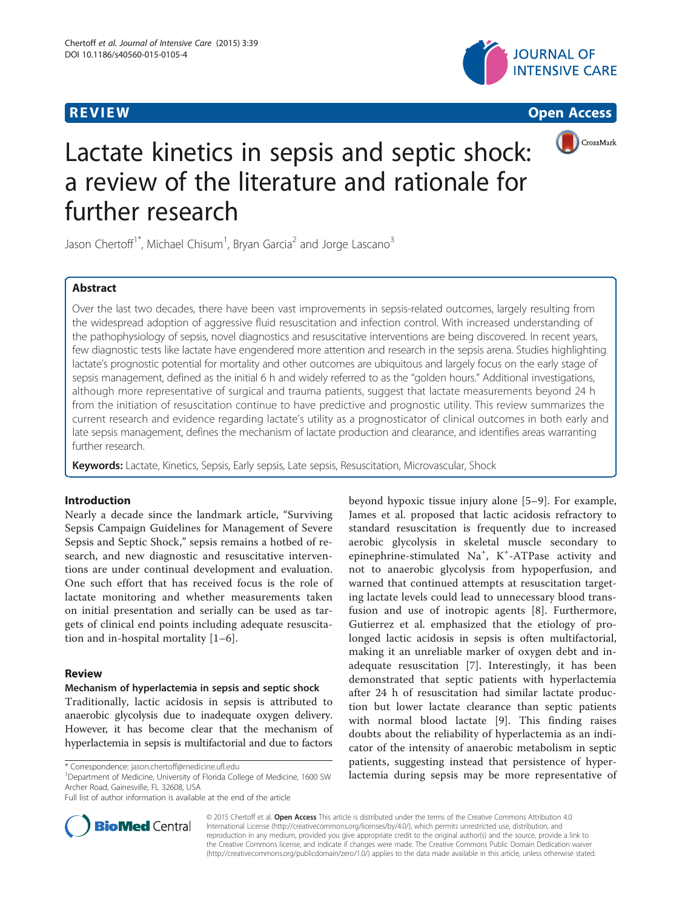

**REVIEW CONSTRUCTION CONSTRUCTION CONSTRUCTION CONSTRUCTS** 



# Lactate kinetics in sepsis and septic shock: a review of the literature and rationale for further research

Jason Chertoff<sup>1\*</sup>, Michael Chisum<sup>1</sup>, Bryan Garcia<sup>2</sup> and Jorge Lascano<sup>3</sup>

# Abstract

Over the last two decades, there have been vast improvements in sepsis-related outcomes, largely resulting from the widespread adoption of aggressive fluid resuscitation and infection control. With increased understanding of the pathophysiology of sepsis, novel diagnostics and resuscitative interventions are being discovered. In recent years, few diagnostic tests like lactate have engendered more attention and research in the sepsis arena. Studies highlighting lactate's prognostic potential for mortality and other outcomes are ubiquitous and largely focus on the early stage of sepsis management, defined as the initial 6 h and widely referred to as the "golden hours." Additional investigations, although more representative of surgical and trauma patients, suggest that lactate measurements beyond 24 h from the initiation of resuscitation continue to have predictive and prognostic utility. This review summarizes the current research and evidence regarding lactate's utility as a prognosticator of clinical outcomes in both early and late sepsis management, defines the mechanism of lactate production and clearance, and identifies areas warranting further research.

Keywords: Lactate, Kinetics, Sepsis, Early sepsis, Late sepsis, Resuscitation, Microvascular, Shock

# Introduction

Nearly a decade since the landmark article, "Surviving Sepsis Campaign Guidelines for Management of Severe Sepsis and Septic Shock," sepsis remains a hotbed of research, and new diagnostic and resuscitative interventions are under continual development and evaluation. One such effort that has received focus is the role of lactate monitoring and whether measurements taken on initial presentation and serially can be used as targets of clinical end points including adequate resuscitation and in-hospital mortality [\[1](#page-2-0)–[6](#page-3-0)].

# Review

## Mechanism of hyperlactemia in sepsis and septic shock

Traditionally, lactic acidosis in sepsis is attributed to anaerobic glycolysis due to inadequate oxygen delivery. However, it has become clear that the mechanism of hyperlactemia in sepsis is multifactorial and due to factors

**BioMed** Central

<sup>1</sup>Department of Medicine, University of Florida College of Medicine, 1600 SW Archer Road, Gainesville, FL 32608, USA

Full list of author information is available at the end of the article



© 2015 Chertoff et al. Open Access This article is distributed under the terms of the Creative Commons Attribution 4.0 International License [\(http://creativecommons.org/licenses/by/4.0/](http://creativecommons.org/licenses/by/4.0/)), which permits unrestricted use, distribution, and reproduction in any medium, provided you give appropriate credit to the original author(s) and the source, provide a link to the Creative Commons license, and indicate if changes were made. The Creative Commons Public Domain Dedication waiver [\(http://creativecommons.org/publicdomain/zero/1.0/](http://creativecommons.org/publicdomain/zero/1.0/)) applies to the data made available in this article, unless otherwise stated.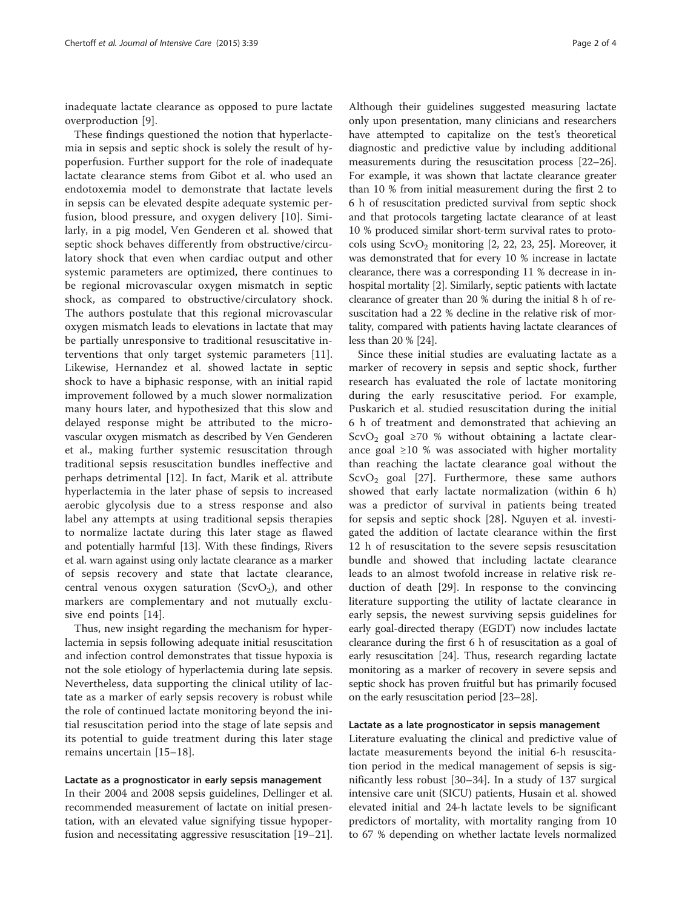inadequate lactate clearance as opposed to pure lactate overproduction [[9](#page-3-0)].

These findings questioned the notion that hyperlactemia in sepsis and septic shock is solely the result of hypoperfusion. Further support for the role of inadequate lactate clearance stems from Gibot et al. who used an endotoxemia model to demonstrate that lactate levels in sepsis can be elevated despite adequate systemic perfusion, blood pressure, and oxygen delivery [[10\]](#page-3-0). Similarly, in a pig model, Ven Genderen et al. showed that septic shock behaves differently from obstructive/circulatory shock that even when cardiac output and other systemic parameters are optimized, there continues to be regional microvascular oxygen mismatch in septic shock, as compared to obstructive/circulatory shock. The authors postulate that this regional microvascular oxygen mismatch leads to elevations in lactate that may be partially unresponsive to traditional resuscitative interventions that only target systemic parameters [\[11](#page-3-0)]. Likewise, Hernandez et al. showed lactate in septic shock to have a biphasic response, with an initial rapid improvement followed by a much slower normalization many hours later, and hypothesized that this slow and delayed response might be attributed to the microvascular oxygen mismatch as described by Ven Genderen et al., making further systemic resuscitation through traditional sepsis resuscitation bundles ineffective and perhaps detrimental [\[12](#page-3-0)]. In fact, Marik et al. attribute hyperlactemia in the later phase of sepsis to increased aerobic glycolysis due to a stress response and also label any attempts at using traditional sepsis therapies to normalize lactate during this later stage as flawed and potentially harmful [\[13\]](#page-3-0). With these findings, Rivers et al. warn against using only lactate clearance as a marker of sepsis recovery and state that lactate clearance, central venous oxygen saturation  $(ScvO<sub>2</sub>)$ , and other markers are complementary and not mutually exclusive end points [[14\]](#page-3-0).

Thus, new insight regarding the mechanism for hyperlactemia in sepsis following adequate initial resuscitation and infection control demonstrates that tissue hypoxia is not the sole etiology of hyperlactemia during late sepsis. Nevertheless, data supporting the clinical utility of lactate as a marker of early sepsis recovery is robust while the role of continued lactate monitoring beyond the initial resuscitation period into the stage of late sepsis and its potential to guide treatment during this later stage remains uncertain [\[15](#page-3-0)–[18](#page-3-0)].

### Lactate as a prognosticator in early sepsis management

In their 2004 and 2008 sepsis guidelines, Dellinger et al. recommended measurement of lactate on initial presentation, with an elevated value signifying tissue hypoperfusion and necessitating aggressive resuscitation [[19](#page-3-0)–[21](#page-3-0)]. Although their guidelines suggested measuring lactate only upon presentation, many clinicians and researchers have attempted to capitalize on the test's theoretical diagnostic and predictive value by including additional measurements during the resuscitation process [\[22](#page-3-0)–[26](#page-3-0)]. For example, it was shown that lactate clearance greater than 10 % from initial measurement during the first 2 to 6 h of resuscitation predicted survival from septic shock and that protocols targeting lactate clearance of at least 10 % produced similar short-term survival rates to protocols using  $ScvO<sub>2</sub>$  monitoring [\[2](#page-2-0), [22](#page-3-0), [23, 25\]](#page-3-0). Moreover, it was demonstrated that for every 10 % increase in lactate clearance, there was a corresponding 11 % decrease in inhospital mortality [[2\]](#page-2-0). Similarly, septic patients with lactate clearance of greater than 20 % during the initial 8 h of resuscitation had a 22 % decline in the relative risk of mortality, compared with patients having lactate clearances of less than 20 % [[24\]](#page-3-0).

Since these initial studies are evaluating lactate as a marker of recovery in sepsis and septic shock, further research has evaluated the role of lactate monitoring during the early resuscitative period. For example, Puskarich et al. studied resuscitation during the initial 6 h of treatment and demonstrated that achieving an ScvO<sub>2</sub> goal ≥70 % without obtaining a lactate clearance goal ≥10 % was associated with higher mortality than reaching the lactate clearance goal without the  $S\text{cvO}_2$  goal [\[27](#page-3-0)]. Furthermore, these same authors showed that early lactate normalization (within 6 h) was a predictor of survival in patients being treated for sepsis and septic shock [\[28](#page-3-0)]. Nguyen et al. investigated the addition of lactate clearance within the first 12 h of resuscitation to the severe sepsis resuscitation bundle and showed that including lactate clearance leads to an almost twofold increase in relative risk reduction of death [[29\]](#page-3-0). In response to the convincing literature supporting the utility of lactate clearance in early sepsis, the newest surviving sepsis guidelines for early goal-directed therapy (EGDT) now includes lactate clearance during the first 6 h of resuscitation as a goal of early resuscitation [\[24\]](#page-3-0). Thus, research regarding lactate monitoring as a marker of recovery in severe sepsis and septic shock has proven fruitful but has primarily focused on the early resuscitation period [\[23](#page-3-0)–[28](#page-3-0)].

# Lactate as a late prognosticator in sepsis management

Literature evaluating the clinical and predictive value of lactate measurements beyond the initial 6-h resuscitation period in the medical management of sepsis is significantly less robust [\[30](#page-3-0)–[34\]](#page-3-0). In a study of 137 surgical intensive care unit (SICU) patients, Husain et al. showed elevated initial and 24-h lactate levels to be significant predictors of mortality, with mortality ranging from 10 to 67 % depending on whether lactate levels normalized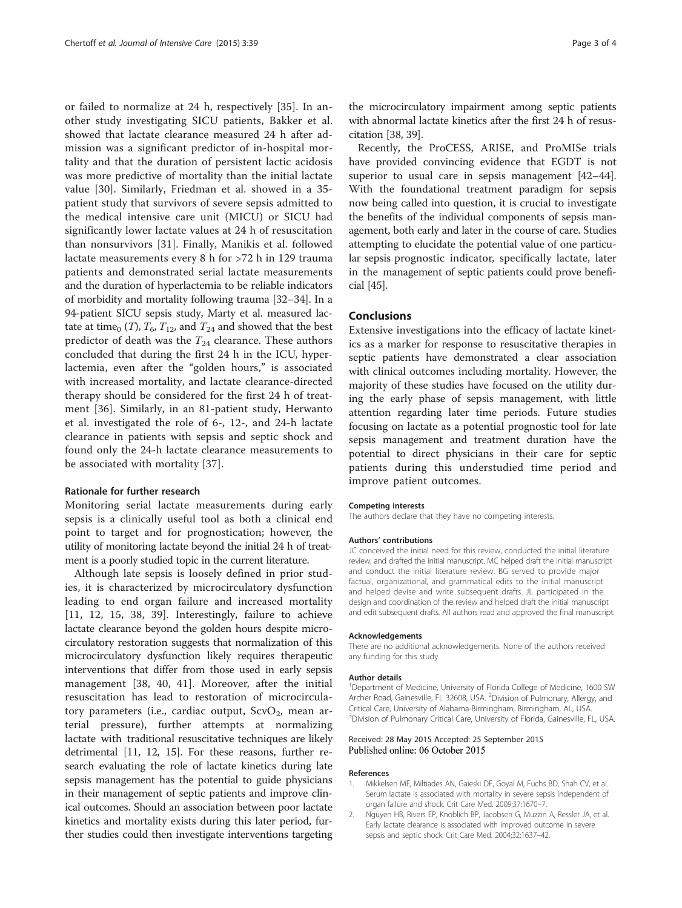<span id="page-2-0"></span>or failed to normalize at 24 h, respectively [[35](#page-3-0)]. In another study investigating SICU patients, Bakker et al. showed that lactate clearance measured 24 h after admission was a significant predictor of in-hospital mortality and that the duration of persistent lactic acidosis was more predictive of mortality than the initial lactate value [[30](#page-3-0)]. Similarly, Friedman et al. showed in a 35 patient study that survivors of severe sepsis admitted to the medical intensive care unit (MICU) or SICU had significantly lower lactate values at 24 h of resuscitation than nonsurvivors [\[31](#page-3-0)]. Finally, Manikis et al. followed lactate measurements every 8 h for >72 h in 129 trauma patients and demonstrated serial lactate measurements and the duration of hyperlactemia to be reliable indicators of morbidity and mortality following trauma [\[32](#page-3-0)–[34\]](#page-3-0). In a 94-patient SICU sepsis study, Marty et al. measured lactate at time<sub>0</sub> (T),  $T_6$ ,  $T_{12}$ , and  $T_{24}$  and showed that the best predictor of death was the  $T_{24}$  clearance. These authors concluded that during the first 24 h in the ICU, hyperlactemia, even after the "golden hours," is associated with increased mortality, and lactate clearance-directed therapy should be considered for the first 24 h of treatment [\[36](#page-3-0)]. Similarly, in an 81-patient study, Herwanto et al. investigated the role of 6-, 12-, and 24-h lactate clearance in patients with sepsis and septic shock and found only the 24-h lactate clearance measurements to be associated with mortality [[37\]](#page-3-0).

# Rationale for further research

Monitoring serial lactate measurements during early sepsis is a clinically useful tool as both a clinical end point to target and for prognostication; however, the utility of monitoring lactate beyond the initial 24 h of treatment is a poorly studied topic in the current literature.

Although late sepsis is loosely defined in prior studies, it is characterized by microcirculatory dysfunction leading to end organ failure and increased mortality [[11, 12, 15](#page-3-0), [38](#page-3-0), [39](#page-3-0)]. Interestingly, failure to achieve lactate clearance beyond the golden hours despite microcirculatory restoration suggests that normalization of this microcirculatory dysfunction likely requires therapeutic interventions that differ from those used in early sepsis management [[38](#page-3-0), [40, 41\]](#page-3-0). Moreover, after the initial resuscitation has lead to restoration of microcirculatory parameters (i.e., cardiac output,  $ScvO_2$ , mean arterial pressure), further attempts at normalizing lactate with traditional resuscitative techniques are likely detrimental [\[11, 12](#page-3-0), [15](#page-3-0)]. For these reasons, further research evaluating the role of lactate kinetics during late sepsis management has the potential to guide physicians in their management of septic patients and improve clinical outcomes. Should an association between poor lactate kinetics and mortality exists during this later period, further studies could then investigate interventions targeting

the microcirculatory impairment among septic patients with abnormal lactate kinetics after the first 24 h of resuscitation [\[38](#page-3-0), [39](#page-3-0)].

Recently, the ProCESS, ARISE, and ProMISe trials have provided convincing evidence that EGDT is not superior to usual care in sepsis management [[42](#page-3-0)–[44](#page-3-0)]. With the foundational treatment paradigm for sepsis now being called into question, it is crucial to investigate the benefits of the individual components of sepsis management, both early and later in the course of care. Studies attempting to elucidate the potential value of one particular sepsis prognostic indicator, specifically lactate, later in the management of septic patients could prove beneficial [\[45\]](#page-3-0).

# Conclusions

Extensive investigations into the efficacy of lactate kinetics as a marker for response to resuscitative therapies in septic patients have demonstrated a clear association with clinical outcomes including mortality. However, the majority of these studies have focused on the utility during the early phase of sepsis management, with little attention regarding later time periods. Future studies focusing on lactate as a potential prognostic tool for late sepsis management and treatment duration have the potential to direct physicians in their care for septic patients during this understudied time period and improve patient outcomes.

#### Competing interests

The authors declare that they have no competing interests.

#### Authors' contributions

JC conceived the initial need for this review, conducted the initial literature review, and drafted the initial manuscript. MC helped draft the initial manuscript and conduct the initial literature review. BG served to provide major factual, organizational, and grammatical edits to the initial manuscript and helped devise and write subsequent drafts. JL participated in the design and coordination of the review and helped draft the initial manuscript and edit subsequent drafts. All authors read and approved the final manuscript.

#### Acknowledgements

There are no additional acknowledgements. None of the authors received any funding for this study.

#### Author details

<sup>1</sup>Department of Medicine, University of Florida College of Medicine, 1600 SW Archer Road, Gainesville, FL 32608, USA. <sup>2</sup>Division of Pulmonary, Allergy, and Critical Care, University of Alabama-Birmingham, Birmingham, AL, USA. <sup>3</sup> Division of Pulmonary Critical Care, University of Florida, Gainesville, FL, USA

## Received: 28 May 2015 Accepted: 25 September 2015 Published online: 06 October 2015

#### References

- 1. Mikkelsen ME, Miltiades AN, Gaieski DF, Goyal M, Fuchs BD, Shah CV, et al. Serum lactate is associated with mortality in severe sepsis independent of organ failure and shock. Crit Care Med. 2009;37:1670–7.
- 2. Nguyen HB, Rivers EP, Knoblich BP, Jacobsen G, Muzzin A, Ressler JA, et al. Early lactate clearance is associated with improved outcome in severe sepsis and septic shock. Crit Care Med. 2004;32:1637–42.